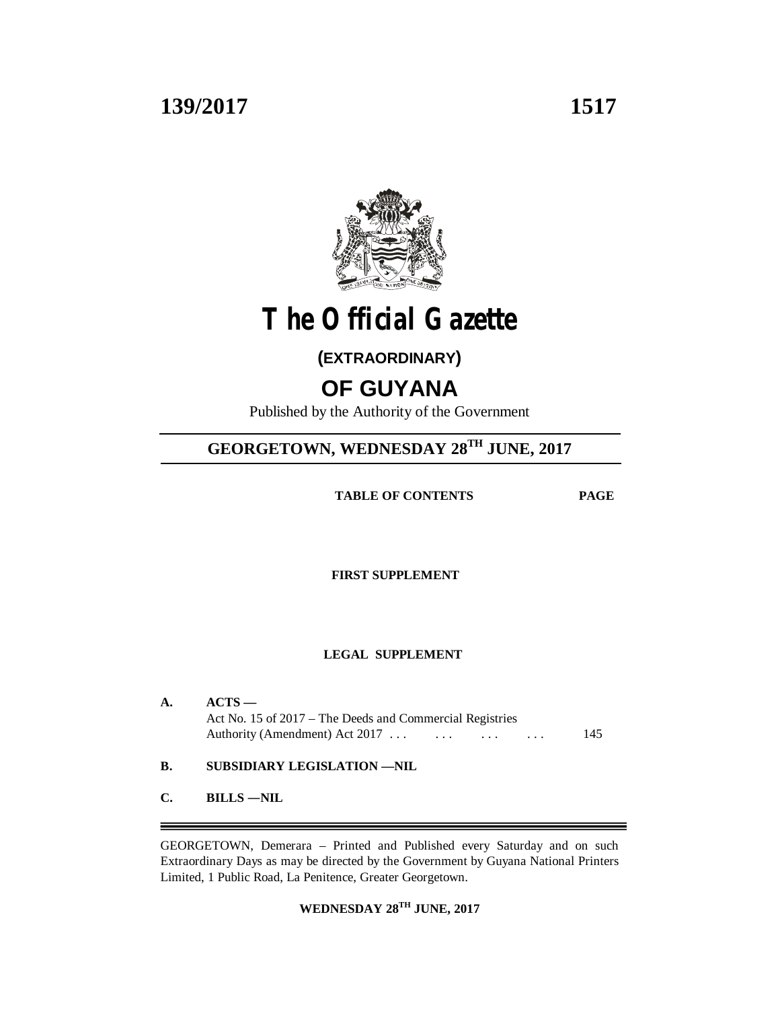### **139/2017 1517**



# **The Official Gazette**

### **(EXTRAORDINARY)**

## **OF GUYANA**

Published by the Authority of the Government

## **GEORGETOWN, WEDNESDAY 28TH JUNE, 2017**

 **TABLE OF CONTENTS PAGE**

**FIRST SUPPLEMENT**

### **LEGAL SUPPLEMENT**

|              | $ACTS -$<br>Act No. 15 of 2017 – The Deeds and Commercial Registries<br>Authority (Amendment) Act $2017$ | 145 |
|--------------|----------------------------------------------------------------------------------------------------------|-----|
| В.           | SUBSIDIARY LEGISLATION —NIL                                                                              |     |
| $\mathbf{C}$ | <b>BILLS-NIL</b>                                                                                         |     |
|              |                                                                                                          |     |

GEORGETOWN, Demerara – Printed and Published every Saturday and on such Extraordinary Days as may be directed by the Government by Guyana National Printers Limited, 1 Public Road, La Penitence, Greater Georgetown.

**WEDNESDAY 28TH JUNE, 2017**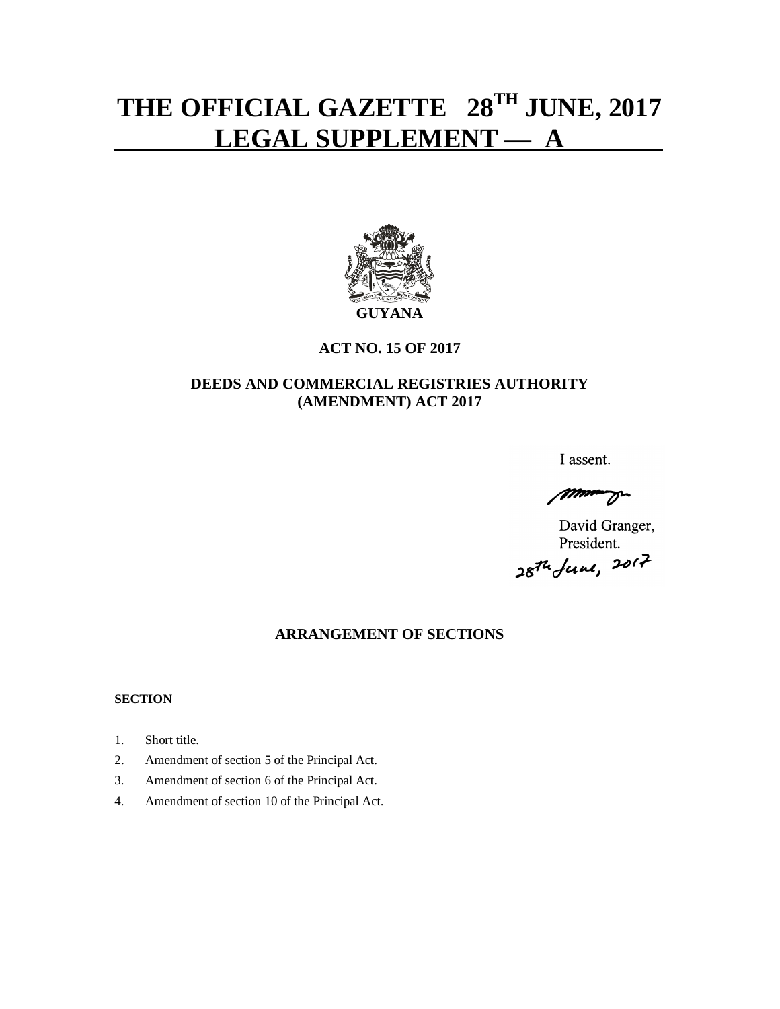# **THE OFFICIAL GAZETTE 28TH JUNE, 2017 LEGAL SUPPLEMENT — A**



### **ACT NO. 15 OF 2017**

### **DEEDS AND COMMERCIAL REGISTRIES AUTHORITY (AMENDMENT) ACT 2017**

I assent.

manuel

David Granger, President. *,.~ju1J, :;ut?--*

## **ARRANGEMENT OF SECTIONS**

#### **SECTION**

- 1. Short title.
- 2. Amendment of section 5 of the Principal Act.
- 3. Amendment of section 6 of the Principal Act.
- 4. Amendment of section 10 of the Principal Act.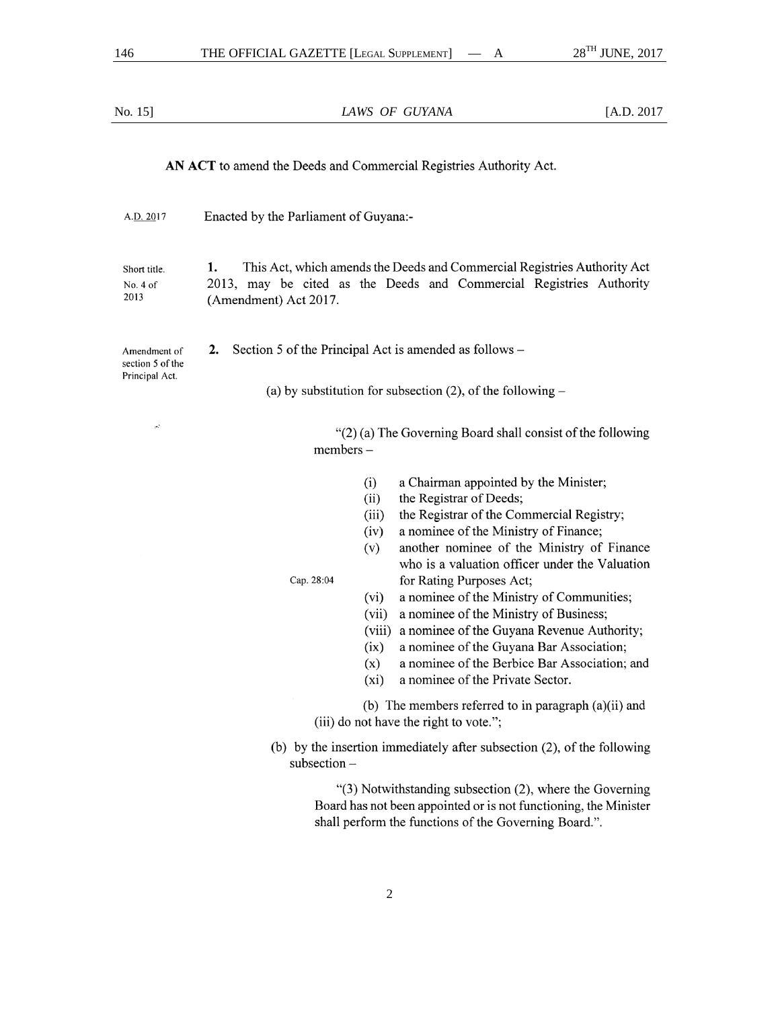| No. 15]                                                                                  | LAWS OF GUYANA                                                                                                                                                                                                                                                                                                                                                                                                                                                                                                                                                                                                                                                     | [A.D. 2017] |  |
|------------------------------------------------------------------------------------------|--------------------------------------------------------------------------------------------------------------------------------------------------------------------------------------------------------------------------------------------------------------------------------------------------------------------------------------------------------------------------------------------------------------------------------------------------------------------------------------------------------------------------------------------------------------------------------------------------------------------------------------------------------------------|-------------|--|
|                                                                                          | AN ACT to amend the Deeds and Commercial Registries Authority Act.                                                                                                                                                                                                                                                                                                                                                                                                                                                                                                                                                                                                 |             |  |
| A.D. 2017                                                                                | Enacted by the Parliament of Guyana:-                                                                                                                                                                                                                                                                                                                                                                                                                                                                                                                                                                                                                              |             |  |
| Short title.<br>No. 4 of<br>2013                                                         | This Act, which amends the Deeds and Commercial Registries Authority Act<br>1.<br>2013, may be cited as the Deeds and Commercial Registries Authority<br>(Amendment) Act 2017.                                                                                                                                                                                                                                                                                                                                                                                                                                                                                     |             |  |
| Amendment of<br>section 5 of the                                                         | Section 5 of the Principal Act is amended as follows –<br>2.                                                                                                                                                                                                                                                                                                                                                                                                                                                                                                                                                                                                       |             |  |
| Principal Act.                                                                           | (a) by substitution for subsection $(2)$ , of the following –                                                                                                                                                                                                                                                                                                                                                                                                                                                                                                                                                                                                      |             |  |
| $\sigma^2$<br>"(2) (a) The Governing Board shall consist of the following<br>$members -$ |                                                                                                                                                                                                                                                                                                                                                                                                                                                                                                                                                                                                                                                                    |             |  |
|                                                                                          | a Chairman appointed by the Minister;<br>(i)<br>the Registrar of Deeds;<br>(ii)<br>the Registrar of the Commercial Registry;<br>(iii)<br>a nominee of the Ministry of Finance;<br>(iv)<br>another nominee of the Ministry of Finance<br>(v)<br>who is a valuation officer under the Valuation<br>Cap. 28:04<br>for Rating Purposes Act;<br>a nominee of the Ministry of Communities;<br>(vi)<br>a nominee of the Ministry of Business;<br>(vii)<br>a nominee of the Guyana Revenue Authority;<br>(viii)<br>a nominee of the Guyana Bar Association;<br>(ix)<br>a nominee of the Berbice Bar Association; and<br>(x)<br>a nominee of the Private Sector.<br>$(x_i)$ |             |  |
|                                                                                          | (b) The members referred to in paragraph $(a)(ii)$ and<br>(iii) do not have the right to vote.";                                                                                                                                                                                                                                                                                                                                                                                                                                                                                                                                                                   |             |  |
|                                                                                          | (b) by the insertion immediately after subsection (2), of the following<br>$subsection -$                                                                                                                                                                                                                                                                                                                                                                                                                                                                                                                                                                          |             |  |
|                                                                                          | "(3) Notwithstanding subsection (2), where the Governing<br>Board has not been appointed or is not functioning, the Minister<br>shall perform the functions of the Governing Board.".                                                                                                                                                                                                                                                                                                                                                                                                                                                                              |             |  |
|                                                                                          |                                                                                                                                                                                                                                                                                                                                                                                                                                                                                                                                                                                                                                                                    |             |  |